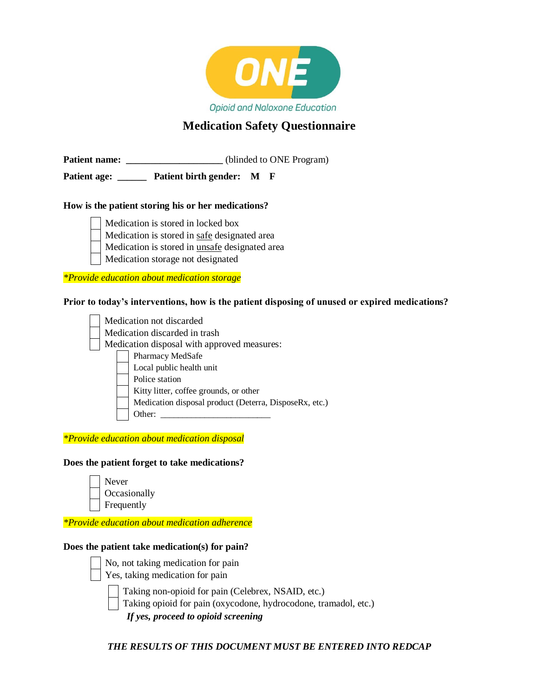

## **Medication Safety Questionnaire**

**Patient name:** \_\_\_\_\_\_\_\_\_\_\_\_\_\_\_\_\_\_\_\_\_\_(blinded to ONE Program)

**Patient age: \_\_\_\_\_\_ Patient birth gender: M F**

#### **How is the patient storing his or her medications?**



Medication is stored in safe designated area

Medication is stored in unsafe designated area

Medication storage not designated

*\*Provide education about medication storage*

#### **Prior to today's interventions, how is the patient disposing of unused or expired medications?**

|                                             |  | Medication not discarded                               |  |  |  |  |  |
|---------------------------------------------|--|--------------------------------------------------------|--|--|--|--|--|
| Medication discarded in trash               |  |                                                        |  |  |  |  |  |
| Medication disposal with approved measures: |  |                                                        |  |  |  |  |  |
|                                             |  | Pharmacy MedSafe                                       |  |  |  |  |  |
|                                             |  | Local public health unit                               |  |  |  |  |  |
|                                             |  | Police station                                         |  |  |  |  |  |
|                                             |  | Kitty litter, coffee grounds, or other                 |  |  |  |  |  |
|                                             |  | Medication disposal product (Deterra, DisposeRx, etc.) |  |  |  |  |  |
|                                             |  | Other:                                                 |  |  |  |  |  |
|                                             |  |                                                        |  |  |  |  |  |

*\*Provide education about medication disposal*

#### **Does the patient forget to take medications?**

| Never        |
|--------------|
| Occasionally |
| Frequently   |

*\*Provide education about medication adherence*

#### **Does the patient take medication(s) for pain?**

- No, not taking medication for pain
- Yes, taking medication for pain

Taking non-opioid for pain (Celebrex, NSAID, etc.)

Taking opioid for pain (oxycodone, hydrocodone, tramadol, etc.)

*If yes, proceed to opioid screening* 

*THE RESULTS OF THIS DOCUMENT MUST BE ENTERED INTO REDCAP*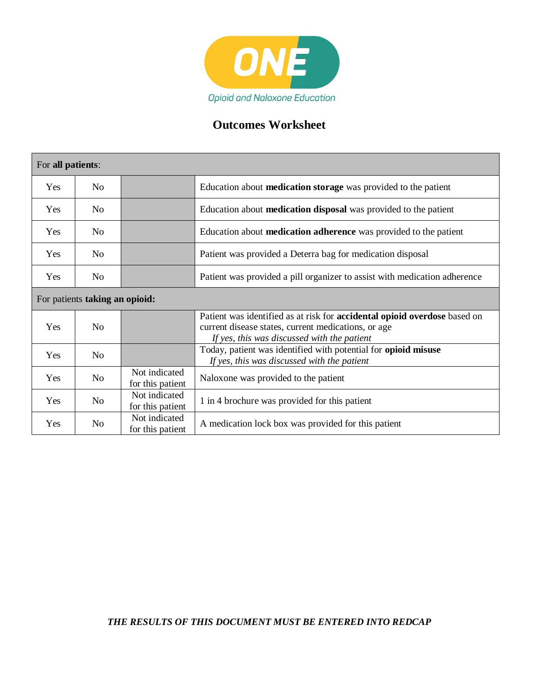

# **Outcomes Worksheet**

| For all patients: |                                |                                   |                                                                                                                                                                                        |  |  |  |  |  |  |  |
|-------------------|--------------------------------|-----------------------------------|----------------------------------------------------------------------------------------------------------------------------------------------------------------------------------------|--|--|--|--|--|--|--|
| Yes               | N <sub>0</sub>                 |                                   | Education about <b>medication storage</b> was provided to the patient                                                                                                                  |  |  |  |  |  |  |  |
| Yes               | N <sub>0</sub>                 |                                   | Education about <b>medication disposal</b> was provided to the patient                                                                                                                 |  |  |  |  |  |  |  |
| Yes               | N <sub>0</sub>                 |                                   | Education about <b>medication adherence</b> was provided to the patient                                                                                                                |  |  |  |  |  |  |  |
| Yes               | N <sub>0</sub>                 |                                   | Patient was provided a Deterra bag for medication disposal                                                                                                                             |  |  |  |  |  |  |  |
| Yes               | N <sub>0</sub>                 |                                   | Patient was provided a pill organizer to assist with medication adherence                                                                                                              |  |  |  |  |  |  |  |
|                   | For patients taking an opioid: |                                   |                                                                                                                                                                                        |  |  |  |  |  |  |  |
| Yes               | N <sub>0</sub>                 |                                   | Patient was identified as at risk for <b>accidental opioid overdose</b> based on<br>current disease states, current medications, or age<br>If yes, this was discussed with the patient |  |  |  |  |  |  |  |
| Yes               | N <sub>o</sub>                 |                                   | Today, patient was identified with potential for opioid misuse<br>If yes, this was discussed with the patient                                                                          |  |  |  |  |  |  |  |
| Yes               | N <sub>0</sub>                 | Not indicated<br>for this patient | Naloxone was provided to the patient                                                                                                                                                   |  |  |  |  |  |  |  |
| <b>Yes</b>        | N <sub>o</sub>                 | Not indicated<br>for this patient | 1 in 4 brochure was provided for this patient                                                                                                                                          |  |  |  |  |  |  |  |
| Yes               | N <sub>0</sub>                 | Not indicated<br>for this patient | A medication lock box was provided for this patient                                                                                                                                    |  |  |  |  |  |  |  |

## *THE RESULTS OF THIS DOCUMENT MUST BE ENTERED INTO REDCAP*